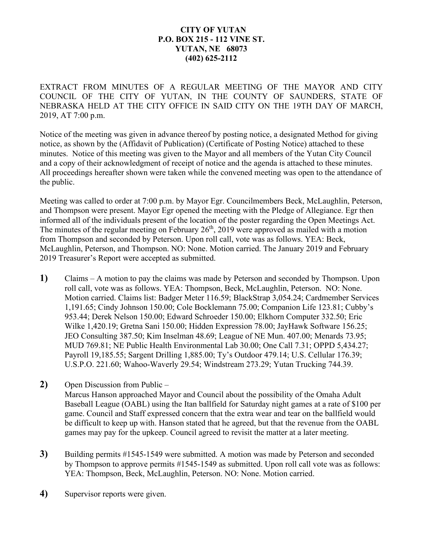## **CITY OF YUTAN P.O. BOX 215 - 112 VINE ST. YUTAN, NE 68073 (402) 625-2112**

EXTRACT FROM MINUTES OF A REGULAR MEETING OF THE MAYOR AND CITY COUNCIL OF THE CITY OF YUTAN, IN THE COUNTY OF SAUNDERS, STATE OF NEBRASKA HELD AT THE CITY OFFICE IN SAID CITY ON THE 19TH DAY OF MARCH, 2019, AT 7:00 p.m.

Notice of the meeting was given in advance thereof by posting notice, a designated Method for giving notice, as shown by the (Affidavit of Publication) (Certificate of Posting Notice) attached to these minutes. Notice of this meeting was given to the Mayor and all members of the Yutan City Council and a copy of their acknowledgment of receipt of notice and the agenda is attached to these minutes. All proceedings hereafter shown were taken while the convened meeting was open to the attendance of the public.

Meeting was called to order at 7:00 p.m. by Mayor Egr. Councilmembers Beck, McLaughlin, Peterson, and Thompson were present. Mayor Egr opened the meeting with the Pledge of Allegiance. Egr then informed all of the individuals present of the location of the poster regarding the Open Meetings Act. The minutes of the regular meeting on February  $26<sup>th</sup>$ , 2019 were approved as mailed with a motion from Thompson and seconded by Peterson. Upon roll call, vote was as follows. YEA: Beck, McLaughlin, Peterson, and Thompson. NO: None. Motion carried. The January 2019 and February 2019 Treasurer's Report were accepted as submitted.

- **1)** Claims A motion to pay the claims was made by Peterson and seconded by Thompson. Upon roll call, vote was as follows. YEA: Thompson, Beck, McLaughlin, Peterson. NO: None. Motion carried. Claims list: Badger Meter 116.59; BlackStrap 3,054.24; Cardmember Services 1,191.65; Cindy Johnson 150.00; Cole Bocklemann 75.00; Companion Life 123.81; Cubby's 953.44; Derek Nelson 150.00; Edward Schroeder 150.00; Elkhorn Computer 332.50; Eric Wilke 1,420.19; Gretna Sani 150.00; Hidden Expression 78.00; JayHawk Software 156.25; JEO Consulting 387.50; Kim Inselman 48.69; League of NE Mun. 407.00; Menards 73.95; MUD 769.81; NE Public Health Environmental Lab 30.00; One Call 7.31; OPPD 5,434.27; Payroll 19,185.55; Sargent Drilling 1,885.00; Ty's Outdoor 479.14; U.S. Cellular 176.39; U.S.P.O. 221.60; Wahoo-Waverly 29.54; Windstream 273.29; Yutan Trucking 744.39.
- **2)** Open Discussion from Public Marcus Hanson approached Mayor and Council about the possibility of the Omaha Adult Baseball League (OABL) using the Itan ballfield for Saturday night games at a rate of \$100 per game. Council and Staff expressed concern that the extra wear and tear on the ballfield would be difficult to keep up with. Hanson stated that he agreed, but that the revenue from the OABL games may pay for the upkeep. Council agreed to revisit the matter at a later meeting.
- **3)** Building permits #1545-1549 were submitted. A motion was made by Peterson and seconded by Thompson to approve permits #1545-1549 as submitted. Upon roll call vote was as follows: YEA: Thompson, Beck, McLaughlin, Peterson. NO: None. Motion carried.
- **4)** Supervisor reports were given.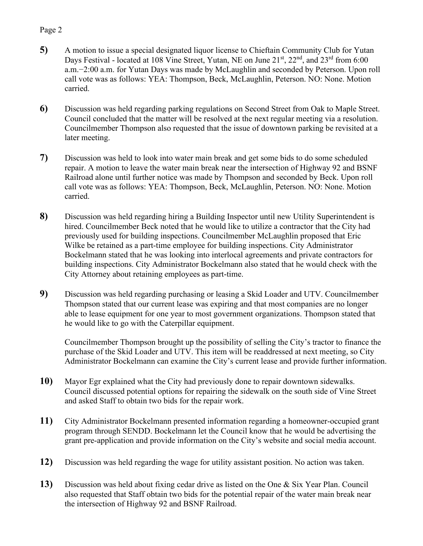## Page 2

- **5)** A motion to issue a special designated liquor license to Chieftain Community Club for Yutan Days Festival - located at 108 Vine Street, Yutan, NE on June 21<sup>st</sup>, 22<sup>nd</sup>, and 23<sup>rd</sup> from 6:00 a.m.−2:00 a.m. for Yutan Days was made by McLaughlin and seconded by Peterson. Upon roll call vote was as follows: YEA: Thompson, Beck, McLaughlin, Peterson. NO: None. Motion carried.
- **6)** Discussion was held regarding parking regulations on Second Street from Oak to Maple Street. Council concluded that the matter will be resolved at the next regular meeting via a resolution. Councilmember Thompson also requested that the issue of downtown parking be revisited at a later meeting.
- **7)** Discussion was held to look into water main break and get some bids to do some scheduled repair. A motion to leave the water main break near the intersection of Highway 92 and BSNF Railroad alone until further notice was made by Thompson and seconded by Beck. Upon roll call vote was as follows: YEA: Thompson, Beck, McLaughlin, Peterson. NO: None. Motion carried.
- **8)** Discussion was held regarding hiring a Building Inspector until new Utility Superintendent is hired. Councilmember Beck noted that he would like to utilize a contractor that the City had previously used for building inspections. Councilmember McLaughlin proposed that Eric Wilke be retained as a part-time employee for building inspections. City Administrator Bockelmann stated that he was looking into interlocal agreements and private contractors for building inspections. City Administrator Bockelmann also stated that he would check with the City Attorney about retaining employees as part-time.
- **9)** Discussion was held regarding purchasing or leasing a Skid Loader and UTV. Councilmember Thompson stated that our current lease was expiring and that most companies are no longer able to lease equipment for one year to most government organizations. Thompson stated that he would like to go with the Caterpillar equipment.

Councilmember Thompson brought up the possibility of selling the City's tractor to finance the purchase of the Skid Loader and UTV. This item will be readdressed at next meeting, so City Administrator Bockelmann can examine the City's current lease and provide further information.

- **10)** Mayor Egr explained what the City had previously done to repair downtown sidewalks. Council discussed potential options for repairing the sidewalk on the south side of Vine Street and asked Staff to obtain two bids for the repair work.
- **11)** City Administrator Bockelmann presented information regarding a homeowner-occupied grant program through SENDD. Bockelmann let the Council know that he would be advertising the grant pre-application and provide information on the City's website and social media account.
- **12)** Discussion was held regarding the wage for utility assistant position. No action was taken.
- **13)** Discussion was held about fixing cedar drive as listed on the One & Six Year Plan. Council also requested that Staff obtain two bids for the potential repair of the water main break near the intersection of Highway 92 and BSNF Railroad.